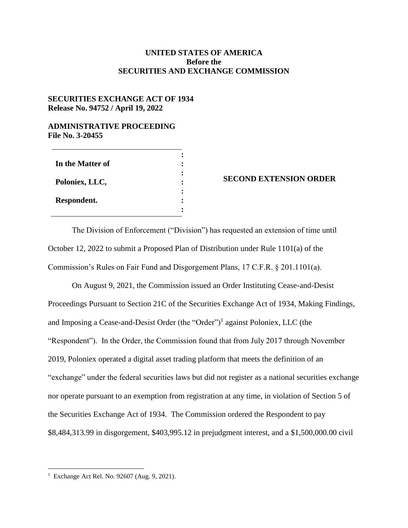## **UNITED STATES OF AMERICA Before the SECURITIES AND EXCHANGE COMMISSION**

## **SECURITIES EXCHANGE ACT OF 1934 Release No. 94752 / April 19, 2022**

## **ADMINISTRATIVE PROCEEDING File No. 3-20455**

| In the Matter of |   |
|------------------|---|
| Poloniex, LLC,   |   |
| Respondent.      | ٠ |

## **SECOND EXTENSION ORDER**

The Division of Enforcement ("Division") has requested an extension of time until October 12, 2022 to submit a Proposed Plan of Distribution under Rule 1101(a) of the Commission's Rules on Fair Fund and Disgorgement Plans, 17 C.F.R. § 201.1101(a).

On August 9, 2021, the Commission issued an Order Instituting Cease-and-Desist Proceedings Pursuant to Section 21C of the Securities Exchange Act of 1934, Making Findings, and Imposing a Cease-and-Desist Order (the "Order")<sup>1</sup> against Poloniex, LLC (the "Respondent"). In the Order, the Commission found that from July 2017 through November 2019, Poloniex operated a digital asset trading platform that meets the definition of an "exchange" under the federal securities laws but did not register as a national securities exchange nor operate pursuant to an exemption from registration at any time, in violation of Section 5 of the Securities Exchange Act of 1934. The Commission ordered the Respondent to pay \$8,484,313.99 in disgorgement, \$403,995.12 in prejudgment interest, and a \$1,500,000.00 civil

 $\overline{a}$ 

<sup>1</sup> Exchange Act Rel. No. 92607 (Aug. 9, 2021).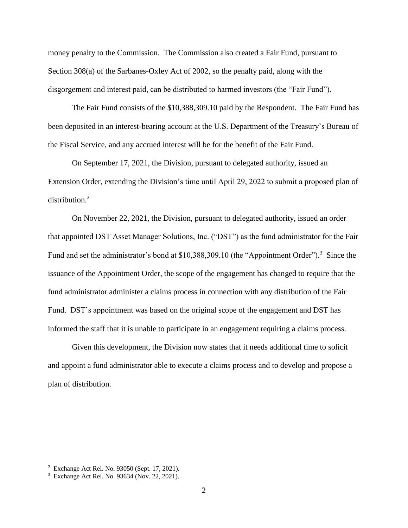money penalty to the Commission. The Commission also created a Fair Fund, pursuant to Section 308(a) of the Sarbanes-Oxley Act of 2002, so the penalty paid, along with the disgorgement and interest paid, can be distributed to harmed investors (the "Fair Fund").

The Fair Fund consists of the \$10,388,309.10 paid by the Respondent. The Fair Fund has been deposited in an interest-bearing account at the U.S. Department of the Treasury's Bureau of the Fiscal Service, and any accrued interest will be for the benefit of the Fair Fund.

On September 17, 2021, the Division, pursuant to delegated authority, issued an Extension Order, extending the Division's time until April 29, 2022 to submit a proposed plan of distribution. 2

On November 22, 2021, the Division, pursuant to delegated authority, issued an order that appointed DST Asset Manager Solutions, Inc. ("DST") as the fund administrator for the Fair Fund and set the administrator's bond at \$10,388,309.10 (the "Appointment Order").<sup>3</sup> Since the issuance of the Appointment Order, the scope of the engagement has changed to require that the fund administrator administer a claims process in connection with any distribution of the Fair Fund. DST's appointment was based on the original scope of the engagement and DST has informed the staff that it is unable to participate in an engagement requiring a claims process.

Given this development, the Division now states that it needs additional time to solicit and appoint a fund administrator able to execute a claims process and to develop and propose a plan of distribution.

 $\overline{a}$ 

<sup>2</sup> Exchange Act Rel. No. 93050 (Sept. 17, 2021).

<sup>3</sup> Exchange Act Rel. No. 93634 (Nov. 22, 2021).